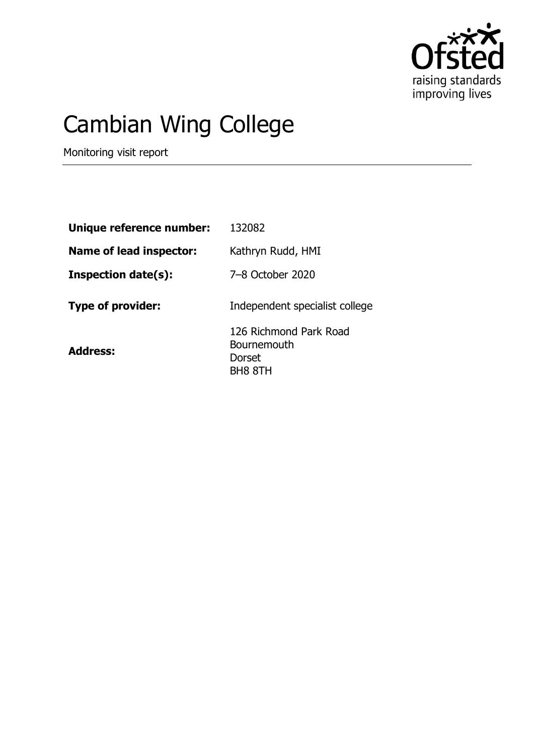

# Cambian Wing College

Monitoring visit report

| Unique reference number:       | 132082                                                            |
|--------------------------------|-------------------------------------------------------------------|
| <b>Name of lead inspector:</b> | Kathryn Rudd, HMI                                                 |
| <b>Inspection date(s):</b>     | 7-8 October 2020                                                  |
| <b>Type of provider:</b>       | Independent specialist college                                    |
| <b>Address:</b>                | 126 Richmond Park Road<br>Bournemouth<br><b>Dorset</b><br>BH8 8TH |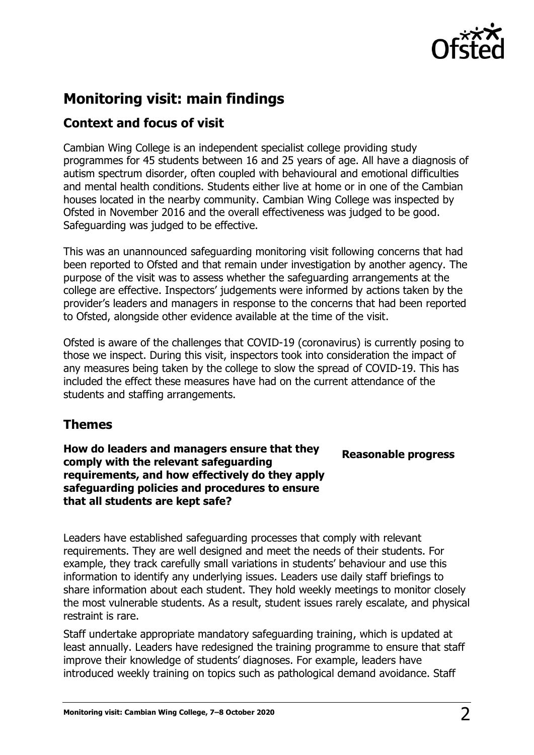

### **Monitoring visit: main findings**

#### **Context and focus of visit**

Cambian Wing College is an independent specialist college providing study programmes for 45 students between 16 and 25 years of age. All have a diagnosis of autism spectrum disorder, often coupled with behavioural and emotional difficulties and mental health conditions. Students either live at home or in one of the Cambian houses located in the nearby community. Cambian Wing College was inspected by Ofsted in November 2016 and the overall effectiveness was judged to be good. Safeguarding was judged to be effective.

This was an unannounced safeguarding monitoring visit following concerns that had been reported to Ofsted and that remain under investigation by another agency. The purpose of the visit was to assess whether the safeguarding arrangements at the college are effective. Inspectors' judgements were informed by actions taken by the provider's leaders and managers in response to the concerns that had been reported to Ofsted, alongside other evidence available at the time of the visit.

Ofsted is aware of the challenges that COVID-19 (coronavirus) is currently posing to those we inspect. During this visit, inspectors took into consideration the impact of any measures being taken by the college to slow the spread of COVID-19. This has included the effect these measures have had on the current attendance of the students and staffing arrangements.

#### **Themes**

**How do leaders and managers ensure that they comply with the relevant safeguarding requirements, and how effectively do they apply safeguarding policies and procedures to ensure that all students are kept safe?** 

**Reasonable progress**

Leaders have established safeguarding processes that comply with relevant requirements. They are well designed and meet the needs of their students. For example, they track carefully small variations in students' behaviour and use this information to identify any underlying issues. Leaders use daily staff briefings to share information about each student. They hold weekly meetings to monitor closely the most vulnerable students. As a result, student issues rarely escalate, and physical restraint is rare.

Staff undertake appropriate mandatory safeguarding training, which is updated at least annually. Leaders have redesigned the training programme to ensure that staff improve their knowledge of students' diagnoses. For example, leaders have introduced weekly training on topics such as pathological demand avoidance. Staff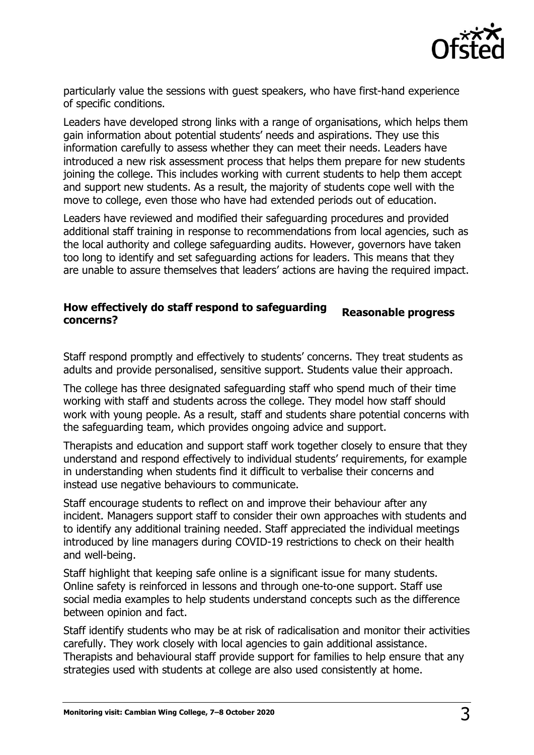

particularly value the sessions with guest speakers, who have first-hand experience of specific conditions.

Leaders have developed strong links with a range of organisations, which helps them gain information about potential students' needs and aspirations. They use this information carefully to assess whether they can meet their needs. Leaders have introduced a new risk assessment process that helps them prepare for new students joining the college. This includes working with current students to help them accept and support new students. As a result, the majority of students cope well with the move to college, even those who have had extended periods out of education.

Leaders have reviewed and modified their safeguarding procedures and provided additional staff training in response to recommendations from local agencies, such as the local authority and college safeguarding audits. However, governors have taken too long to identify and set safeguarding actions for leaders. This means that they are unable to assure themselves that leaders' actions are having the required impact.

## **How effectively do staff respond to safeguarding concerns? Reasonable progress**

Staff respond promptly and effectively to students' concerns. They treat students as adults and provide personalised, sensitive support. Students value their approach.

The college has three designated safeguarding staff who spend much of their time working with staff and students across the college. They model how staff should work with young people. As a result, staff and students share potential concerns with the safeguarding team, which provides ongoing advice and support.

Therapists and education and support staff work together closely to ensure that they understand and respond effectively to individual students' requirements, for example in understanding when students find it difficult to verbalise their concerns and instead use negative behaviours to communicate.

Staff encourage students to reflect on and improve their behaviour after any incident. Managers support staff to consider their own approaches with students and to identify any additional training needed. Staff appreciated the individual meetings introduced by line managers during COVID-19 restrictions to check on their health and well-being.

Staff highlight that keeping safe online is a significant issue for many students. Online safety is reinforced in lessons and through one-to-one support. Staff use social media examples to help students understand concepts such as the difference between opinion and fact.

Staff identify students who may be at risk of radicalisation and monitor their activities carefully. They work closely with local agencies to gain additional assistance. Therapists and behavioural staff provide support for families to help ensure that any strategies used with students at college are also used consistently at home.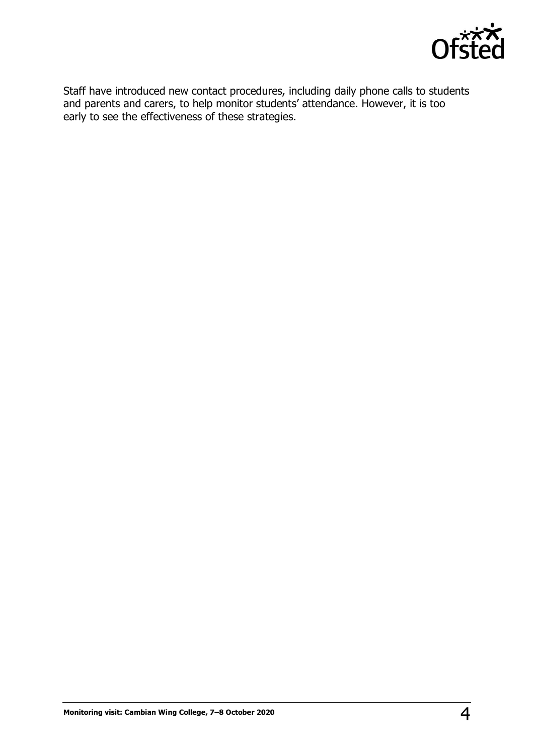

Staff have introduced new contact procedures, including daily phone calls to students and parents and carers, to help monitor students' attendance. However, it is too early to see the effectiveness of these strategies.